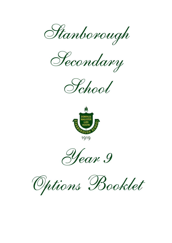Stanborough

Secondary





1910



Options Booklet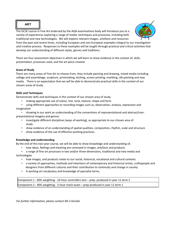

The GCSE course in Fine Art endorsed by the AQA examinations body will introduce you to a variety of experiences exploring a range of media, techniques and processes, including both traditional and new technologies. We will explore relevant images, artefacts and resources



from the past and recent times, including European and non-European examples integral to our investigation and creative process. Responses to these examples will be taught through practical and critical activities that develop our understanding of different styles, genres and traditions.

There are four assessment objectives in which we will learn to show evidence in the context of; skills, presentation, processes used, and the art piece created.

#### **Areas of Study**

There are many areas of Fine Art to choose from, they include painting and drawing, mixed media including collage and assemblage, sculpture, printmaking, etching, screen printing, marbling, silk painting and new media.  There is an expectation that we will be able to demonstrate practical skills in the context of our chosen areas of study.  

#### **Skills and Techniques**

Demonstrate skills and techniques in the context of our chosen area of study.

- making appropriate use of colour, line, tone, texture, shape and form
- using different approaches to recording images such as, observation, analysis, expression and imagination
- showing in our work an understanding of the conventions of representational and abstract/nonpresentational imagery and genres
	- investigate different disciplines (ways of working), as appropriate to our chosen area of study
	- show evidence of an understanding of spatial qualities, composition, rhythm, scale and structure
	- show evidence of the use of effective working practices.

#### **Knowledge and understanding**

By the end of this two-year course, we will be able to show knowledge and understanding of;

- how ideas, feelings and meaning are conveyed in images, artefacts and products
- a range of fine art processes in two and/or three-dimensions, traditional and new media and technologies
	- how images, and products relate to our social, historical, vocational and cultural contexts
	- a variety of approaches, methods and intentions of contemporary and historical artists, craftspeople and designers from different cultures and their contribution to continuity and change in society
	- A working art vocabulary and knowledge of specialist terms.

Component 1 - 60% weighting - 10-hour controllers test – prep. produced in year 11 term 2  Component 2 - 40% weighting - 5-hour mock exam – prep produced in year 11 term 1 

*For further information, please contact Ms S Sinclair*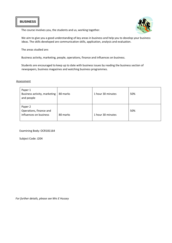# **BUSINESS**





We aim to give you a good understanding of key areas in business and help you to develop your business ideas. The skills developed are communication skills, application, analysis and evaluation.

The areas studied are:

Business activity, marketing, people, operations, finance and influences on business.

Students are encouraged to keep up to date with business issues by reading the business section of newspapers, business magazines and watching business programmes.

#### **Assessment**

| Paper 1<br>Business activity, marketing<br>and people        | 80 marks | 1 hour 30 minutes | 50% |
|--------------------------------------------------------------|----------|-------------------|-----|
| Paper 2<br>Operations, finance and<br>influences on business | 80 marks | 1 hour 30 minutes | 50% |

Examining Body: OCR181164

Subject Code: J204

*For further details, please see Mrs E Hussey*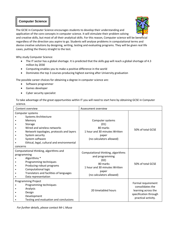# **Computer Science**

The GCSE in Computer Science encourages students to develop their understanding and application of the core concepts in computer science. It will stimulate their problem solving and creative skills, but most of all their analytical skills. For this reason, Computer science will be beneficial regardless of the direction you aspire to go. Students will analyse problems in computational terms and devise creative solutions by designing, writing, testing and evaluating programs. They will be given real life cases, putting the theory straight to the test.

Why study Computer Science:

- The IT sector has a global shortage. It is predicted that the skills gap will reach a global shortage of 4.3 million by 2030
- Computing enables you to make a positive difference in the world
- Dominates the top 3 courses producing highest earning after University graduation

The possible career choices for obtaining a degree in computer science are:

- Software programmer
- Games developer
- Cyber security specialist

To take advantage of the great opportunities within IT you will need to start here by obtaining GCSE in Computer science.

| Content overview                           | Assessment overview                |                                              |
|--------------------------------------------|------------------------------------|----------------------------------------------|
| Computer systems                           |                                    |                                              |
| Systems Architecture                       |                                    |                                              |
| Memory                                     | Computer systems                   |                                              |
| Storage                                    | (01)                               |                                              |
| Wired and wireless networks                | 80 marks                           | 50% of total GCSE                            |
| Network topologies, protocols and layers   | 1 hour and 30 minutes Written      |                                              |
| System security                            | paper                              |                                              |
| System software                            | (no calculators allowed)           |                                              |
| Ethical, legal, cultural and environmental |                                    |                                              |
| concerns                                   |                                    |                                              |
| Computational thinking, algorithms and     |                                    |                                              |
| programming                                | Computational thinking, algorithms |                                              |
| Algorithms <sup>*</sup>                    | and programming<br>(02)            |                                              |
| Programming techniques                     | 80 marks                           | 50% of total GCSE                            |
| Producing robust programs                  | 1 hour and 30 minutes Written      |                                              |
| Computational logic                        |                                    |                                              |
| Translators and facilities of languages    | paper<br>(no calculators allowed)  |                                              |
| Data representation                        |                                    |                                              |
| <b>Programming Project</b>                 |                                    |                                              |
| Programming techniques                     |                                    | Formal requirement<br>consolidates the       |
| Analysis                                   | 20 timetabled hours                |                                              |
| Design                                     |                                    | learning across the<br>specification through |
| Development                                |                                    | practical activity.                          |
| Testing and evaluation and conclusions     |                                    |                                              |

*For further details, please contact Mr L Musa*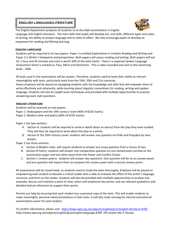# **ENGLISH LANGUAGE/LITERATURE**



The English Department prepares all students to sit the AQA examinations in English Language and English Literature. The main skills that pupils will develop are: oral skills, different types and styles of writing, the ability to analyse language and to state its effect. We also encourage pupils to develop an enjoyment for reading and lifelong learning.

#### **ENGLISH LANGUAGE**

Students will be required to sit two papers. Paper I is entitled *Explorations in Creative Reading and Writing* and Paper 2 is *Writer's Viewpoints and perspectives.* Both papers will assess reading and writing. Both papers will last for 1 hour and 45 minutes and each is worth 50% of the total marks. There is a separate Spoken Language Assessment which is marked as: Pass, Merit and Distinction. This is video recorded and sent to the examining body – AQA.

All texts used in the examination will be unseen. Therefore, students need to hone their ability to interact meaningfully with texts, particularly texts from the 19th, 20th and 21st centuries.

Heavy emphasis will be placed on equipping students with the knowledge and skills that will empower them to write effectively and coherently, while learning about linguistic conventions for reading, writing and spoken language. Students will also be taught exam techniques and provided with multiple opportunities to practise answering exam style questions.

### **ENGLISH LITERATURE**

Students will be assessed on two papers. Paper 1: Shakespeare and the 19th century novel (40% of GCSE marks). Paper 2: Modern texts and poetry (60% of GCSE marks).

Paper 1 has two sections:

- A. Section A: students will be required to write in detail about an extract from the play they have studied. They will then be required to write about the play as a whole.
- B. Section B The 19th-century novel: students will answer one question on Pride and Prejudice by Jane Austen.

Paper 2 has three sections:

- A. Section A Modern texts: will require students to answer one essay question from a choice of two.
- B. Section B Poetry: students will answer one comparative question on one named poem printed on the examination paper and one other poem from the Power and Conflict Cluster.
- C. Section C Unseen poetry: students will answer two questions. One question will be on an unseen poem and one question will require them to compare this unseen poem with a second unseen poem.

All assessments will be closed book, so students need to study the texts thoroughly. Emphasis will be placed on empowering each student to become a critical reader who is able to evaluate the effect of the writer's language, structure, and form on the reader. Students will also be provided with multiple opportunities to analyse and evaluate; discuss and maintain a point of view; select and emphasise key points; and use relevant quotations and detailed textual references to support their points.

Parents can help by ensuring that each student has a personal copy of the texts. This will enable students to make meaningful, personal notes/annotations in their texts. It will also make revising for internal and external examinations easier for each student.

*For further information, please visit:<http://www.aqa.org.uk/subjects/english/gcse/english-literature-8702> http://www.aqa.org.uk/subjects/english/gcse/english-language-8700 OR contact Mrs E Hussey*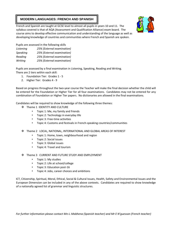# **MODERN LANGUAGES: FRENCH AND SPANISH**



French and Spanish are taught at GCSE level to almost all pupils in years 10 and 11. The syllabus covered is that of AQA (Assessment and Qualification Alliance) exam board. The course aims to develop effective communication and understanding of the language as well as developing knowledge of countries and communities where French and Spanish are spoken.

Pupils are assessed in the following skills

| Listening | 25% (External examination) |
|-----------|----------------------------|
| Speaking  | 25% (External examination) |
| Reading   | 25% (External examination) |
| Writing   | 25% (External examination) |

Pupils are assessed by a final examination in Listening, Speaking, Reading and Writing. There are 2 tiers within each skill:

- 1. Foundation Tier: Grades 1 5
- 2. Higher Tier: Grades 4 9

Based on progress throughout the two-year course the Teacher will make the final decision whether the child will be entered for the Foundation or Higher Tier for all four examinations. Candidates may not be entered for any combination of Foundation or Higher Tier papers. No dictionaries are allowed in the final examinations.

Candidates will be required to show knowledge of the following three themes:

- **❖** Theme 1 IDENTITY AND CULTURE
	- Topic 1: Me, my family and friends
	- Topic 2: Technology in everyday life
	- Topic 3: Free-time activities
	- Topic 4: Customs and festivals in French-speaking countries/communities
- Theme 2 LOCAL, NATIONAL, INTERNATIONAL AND GLOBAL AREAS OF INTEREST
	- Topic 1: Home, town, neighbourhood and region
	- Topic 2: Social issues
	- Topic 3: Global issues
	- Topic 4: Travel and tourism
- $\cdot$  Theme 3 CURRENT AND FUTURE STUDY AND EMPLOYMENT
	- Topic 1: My studies
	- Topic 2: Life at school/college
	- Topic 3: Education post-16
	- Topic 4: Jobs, career choices and ambitions

ICT, Citizenship, Spiritual, Moral, Ethical, Social & Cultural Issues, Health, Safety and Environmental Issues and the European Dimension can be included in any of the above contexts. Candidates are required to show knowledge of a nationally agreed list of grammar and linguistic structures.

*For further information please contact Mrs L Mabhena (Spanish teacher) and Mr E N'guessan (French teacher)*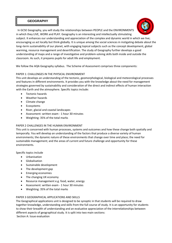# **GEOGRAPHY**



In GCSE Geography, you will study the relationships between PEOPLE and the ENVIRONMENTS in which they LIVE, WORK and PLAY. Geography is an interesting and intellectually stimulating subject. It enhances our understanding and appreciation of the complex and dynamic world in which we live; encouraging us act locally but think globally. It is unique among the social sciences in instigating debate about the long–term sustainability of our planet, with engaging topical subjects such as the concept development, global warming, resource management and desertification. The study of Geography further develops a good understanding of maps and a range of investigative and problem-solving skills both inside and outside the classroom. As such, it prepares pupils for adult life and employment.

We follow the AQA Geography syllabus. The Scheme of Assessment comprises three components:

## PAPER 1: CHALLENGES IN THE PHYSICAL ENVIRONMENT

This unit develops an understanding of the tectonic, geomorphological, biological and meteorological processes and features in different environments. It provides you with the knowledge about the need for management strategies governed by sustainability and consideration of the direct and indirect effects of human interaction with the Earth and the atmosphere. Specific topics include:

- Tectonic hazards
- Weather hazards
- Climate change
- Ecosystems
- River, glacial and coastal landscapes
- Assessment: written exam 1 hour 30 minutes
- Weighting: 35% of the total marks

## PAPER 2 CHALLENGES IN THE HUMAN ENVIRONMENT

This unit is concerned with human processes, systems and outcomes and how these change both spatially and temporally. You will develop an understanding of the factors that produce a diverse variety of human environments; the dynamic nature of these environments that change over time and place; the need for sustainable management; and the areas of current and future challenge and opportunity for these environments.

Specific topics include

- Urbanisation
- Globalisation
- Sustainable development
- The development gap
- Emerging economies
- The changing UK economy
- Resource management e.g. food, water, energy
- Assessment: written exam 1 hour 30 minutes
- Weighting: 35% of the total marks

## PAPER 3 GEOGRAPHICAL APPLICATIONS AND SKILLS

The Geographical applications unit is designed to be synoptic in that students will be required to draw together knowledge, understanding and skills from the full course of study. It is an opportunity for students to show their breadth of understanding and an evaluative appreciation of the interrelationships between different aspects of geographical study. It is split into two main sections: Section A: Issue evaluation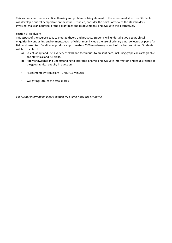This section contributes a critical thinking and problem-solving element to the assessment structure. Students will develop a critical perspective on the issue(s) studied, consider the points of view of the stakeholders involved, make an appraisal of the advantages and disadvantages, and evaluate the alternatives.

### Section B: Fieldwork

This aspect of the course seeks to emerge theory and practice. Students will undertake two geographical enquiries in contrasting environments, each of which must include the use of primary data, collected as part of a fieldwork exercise. Candidates produce approximately 2000 word essay in each of the two enquiries. Students will be expected to:

- a) Select, adapt and use a variety of skills and techniques to present data, including graphical, cartographic, and statistical and ICT skills.
- b) Apply knowledge and understanding to interpret, analyse and evaluate information and issues related to the geographical enquiry in question.
- Assessment: written exam 1 hour 15 minutes
- Weighting: 30% of the total marks.

*For further information, please contact Mr E Amo-Adjei and Mr Burrill.*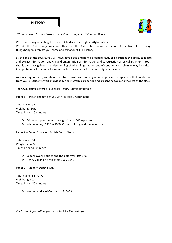

*["](http://www.brainyquote.com/quotes/quotes/e/edmundburk382368.html?src=t_history)[Those who don't know history are destined to repeat it.](http://www.brainyquote.com/quotes/quotes/e/edmundburk382368.html?src=t_history)["](http://www.brainyquote.com/quotes/authors/e/edmund_burke.html) [Edmund Burke](http://www.brainyquote.com/quotes/authors/e/edmund_burke.html)*

Why was history repeating itself when Allied armies fought in Afghanistan? Why did the United Kingdom finance Hitler and the United States of America equip Osama Bin Laden? If why things happen interests you, come and ask about GCSE History.

By the end of the course, you will have developed and honed essential study skills, such as the ability to locate and extract information; analysis and organisation of information and construction of logical argument. You should also have gained an understanding of why things happen and of continuity and change, why historical interpretations differ and a lot more; skills necessary for further and higher education.

As a key requirement, you should be able to write well and enjoy and appreciate perspectives that are different from yours. Students work individually and in groups preparing and presenting topics to the rest of the class.

The GCSE course covered is Edexcel History. Summary details:

Paper 1 – British Thematic Study with Historic Environment

Total marks: 52 Weighting: 30% Time: 1 hour 15 minutes

- $\cdot$  Crime and punishment through time, c1000 present
- Whitechapel, c1870 –c1900: Crime, policing and the inner city

Paper 2 – Period Study and British Depth Study

Total marks: 64 Weighting: 40% Time: 1 hour 45 minutes

- Superpower relations and the Cold War, 1941–91
- Henry VIII and his ministers 1509-1540

Paper 3 – Modern Depth Study

Total marks: 52 marks Weighting: 30% Time: 1 hour 20 minutes

Weimar and Nazi Germany, 1918–39

*For further information, please contact Mr E Amo-Adjei.*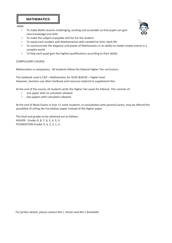

AIMS:

• To make Maths lessons challenging, exciting and accessible so that pupils can gain new knowledge and skills



- To equip each student with Mathematical skills needed for their adult life
- To communicate the elegance and power of Mathematics in its ability to model simple events in a complex world
- To help each pupil gain the highest qualifications according to their ability

#### COMPULSORY COURSE:

Mathematics is compulsory. All students follow the Edexcel Higher Tier curriculum.

The textbook used is CGP – Mathematics for GCSE &IGCSE – Higher level However, teachers use other textbook and resource material to supplement this.

At the end of the course, all students write the Higher Tier exam for Edexcel. This consists of:

- one paper with no calculator allowed
- two papers with calculators allowed

At the end of Mock Exams in Year 11 some students, in consultation with parents/carers, may be offered the possibility of sitting the Foundation paper instead of the Higher paper.

The level and grades to be obtained are as follows: HIGHER Grades 9, 8, 7, 6, 5, 4, 3, U FOUNDATION Grades 5, 4, 3, 2, 1, U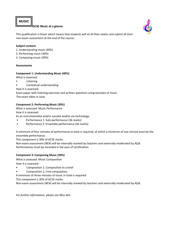**MUSIC** 

#### **GCSE Music at a glance**



This qualification is linear which means that students will sit all their exams and submit all their non-exam assessment at the end of the course.

### **Subject content**

- 1. Understanding music (40%)
- 2. Performing music (30%)
- 3. Composing music (30%)

## **Assessments**

## **Component 1: Understanding Music (40%)**

What is assessed:

- Listening
- Contextual understanding

How it is assessed:

Exam paper with listening exercises and written questions using excerpts of music. The exam takes in June.

# **Component 2: Performing Music (30%)**

What is assessed: Music Performance

How it is assessed:

As an instrumentalist and/or vocalist and/or via technology:

- Performance 1: Solo performance (36 marks)
- Performance 2: Ensemble performance (36 marks).

A minimum of four minutes of performance in total is required, of which a minimum of one minute must be the ensemble performance.

This component is 30% of GCSE marks.

Non-exam assessment (NEA) will be internally marked by teachers and externally moderated by AQA. Performances must be recorded in the year of certification.

# **Component 3: Composing Music (30%)**

What is assessed: Music Composition

How it is assessed:

- Composition 1: Composition to a brief
- Composition 2: Free composition.

A minimum of three minutes of music in total is required.

This component is 30% of GCSE marks.

Non-exam assessment (NEA) will be internally marked by teachers and externally moderated by AQA.

*For further information, please see Miss Ahn*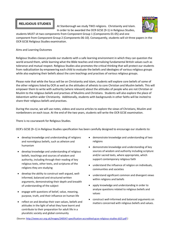# **RELIGIOUS STUDIES**

At Stanborough we study TWO religions. Christianity and Islam. In order to be awarded the OCR GCSE (9-1) in Religious Studies, students MUST sit two components from Component Group 1 (Components 01-05) and one



component from Component Group 2 (Components 06-10). Consequently, students will sit three papers in the OCR GCSE Religious Studies examination.

#### Aims and Learning Outcomes

Religious Studies classes provide our students with a safe learning environment in which they can question the world around them, while learning what the Bible teaches and internalizing fundamental British values such as tolerance and mutual respect. Religious Studies also promotes the critical thinking that will protect our students from radicalization by empowering each child to evaluate the beliefs and ideologies of various religious groups while also exploring their beliefs about the core teachings and practises of various religious groups.

Please note that while the focus will be on Christianity and Islam, students will explore core beliefs of some of the other religions listed by OCR as well as the attitudes of atheists to core Christian and Muslim beliefs. This will empower them to write with authority (where relevant) about the attitudes of people who are not Christian or Muslim to the religious beliefs and practises of Muslims and Christians. Students will also explore the place of Adventism within wider Christianity. Additionally, students with backgrounds in other faiths will be invited to share their religious beliefs and practises.

During the course, we will use notes, videos and source articles to explore the views of Christians, Muslim and nonbelievers on each issue. At the end of the two years, students will write the OCR GCSE examination.

There is no coursework for Religious Studies.

OCR's GCSE (9–1) in Religious Studies specification has been carefully designed to encourage our students to:

- develop knowledge and understanding of religions and nonreligious beliefs, such as atheism and humanism
- develop knowledge and understanding of religious beliefs, teachings and sources of wisdom and authority, including through their reading of key religious texts, other texts, and scriptures of the religions they are studying
- develop the ability to construct well-argued, wellinformed, balanced and structured written arguments, demonstrating their depth and breadth of understanding of the subject
- engage with questions of belief, value, meaning, purpose, truth, and their influence on human life
- reflect on and develop their own values, beliefs and attitudes in the light of what they have learnt and contribute to their preparation for adult life in a pluralistic society and global community
- demonstrate knowledge and understanding of two religions
- demonstrate knowledge and understanding of key sources of wisdom and authority including scripture and/or sacred texts, where appropriate, which support contemporary religious faith
- understand the influence of religion on individuals, communities and societies
- understand significant common and divergent views within religions and beliefs
- apply knowledge and understanding in order to analyse questions related to religious beliefs and values
- construct well-informed and balanced arguments on matters concerned with religious beliefs and values.

(Sourc[e: http://www.ocr.org.uk/Images/240547-specification-accredited-gcse-religious-studies-j625.pdf](http://www.ocr.org.uk/Images/240547-specification-accredited-gcse-religious-studies-j625.pdf) [\)](http://www.ocr.org.uk/Images/240547-specification-accredited-gcse-religious-studies-j625.pdf)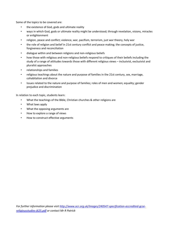Some of the topics to be covered are:

- the existence of God, gods and ultimate reality
- ways in which God, gods or ultimate reality might be understood; through revelation, visions, miracles or enlightenment
- religion, peace and conflict; violence, war, pacifism, terrorism, just war theory, holy war
- the role of religion and belief in 21st century conflict and peace making; the concepts of justice, forgiveness and reconciliation
- dialogue within and between religions and non-religious beliefs
- how those with religious and non-religious beliefs respond to critiques of their beliefs including the study of a range of attitudes towards those with different religious views – inclusivist, exclusivist and pluralist approaches
- relationships and families
- religious teachings about the nature and purpose of families in the 21st century, sex, marriage, cohabitation and divorce
- Issues related to the nature and purpose of families; roles of men and women; equality; gender prejudice and discrimination

In relation to each topic, students learn:

- What the teachings of the Bible, Christian churches & other religions are
- What laws apply
- What the opposing arguments are
- How to explore a range of views
- How to construct effective arguments